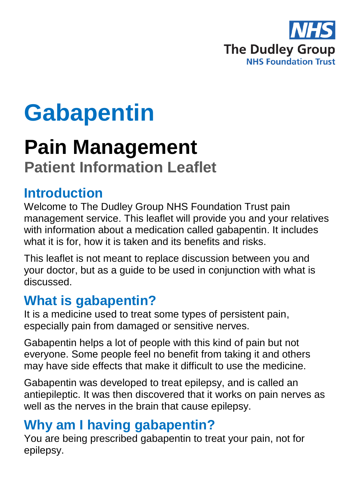

# **Gabapentin**

# **Pain Management**

# **Patient Information Leaflet**

### **Introduction**

Welcome to The Dudley Group NHS Foundation Trust pain management service. This leaflet will provide you and your relatives with information about a medication called gabapentin. It includes what it is for, how it is taken and its benefits and risks.

This leaflet is not meant to replace discussion between you and your doctor, but as a guide to be used in conjunction with what is discussed.

# **What is gabapentin?**

It is a medicine used to treat some types of persistent pain, especially pain from damaged or sensitive nerves.

Gabapentin helps a lot of people with this kind of pain but not everyone. Some people feel no benefit from taking it and others may have side effects that make it difficult to use the medicine.

Gabapentin was developed to treat epilepsy, and is called an antiepileptic. It was then discovered that it works on pain nerves as well as the nerves in the brain that cause epilepsy.

# **Why am I having gabapentin?**

You are being prescribed gabapentin to treat your pain, not for epilepsy.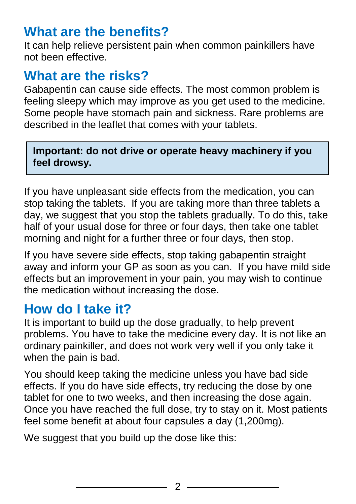#### **What are the benefits?**

It can help relieve persistent pain when common painkillers have not been effective.

#### **What are the risks?**

Gabapentin can cause side effects. The most common problem is feeling sleepy which may improve as you get used to the medicine. Some people have stomach pain and sickness. Rare problems are described in the leaflet that comes with your tablets.

**Important: do not drive or operate heavy machinery if you feel drowsy.**

If you have unpleasant side effects from the medication, you can stop taking the tablets. If you are taking more than three tablets a day, we suggest that you stop the tablets gradually. To do this, take half of your usual dose for three or four days, then take one tablet morning and night for a further three or four days, then stop.

If you have severe side effects, stop taking gabapentin straight away and inform your GP as soon as you can. If you have mild side effects but an improvement in your pain, you may wish to continue the medication without increasing the dose.

#### **How do I take it?**

It is important to build up the dose gradually, to help prevent problems. You have to take the medicine every day. It is not like an ordinary painkiller, and does not work very well if you only take it when the pain is bad.

You should keep taking the medicine unless you have bad side effects. If you do have side effects, try reducing the dose by one tablet for one to two weeks, and then increasing the dose again. Once you have reached the full dose, try to stay on it. Most patients feel some benefit at about four capsules a day (1,200mg).

We suggest that you build up the dose like this: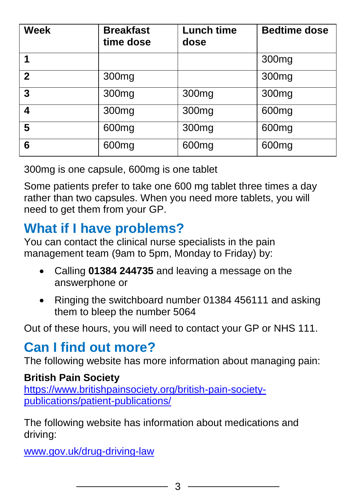| <b>Week</b>    | <b>Breakfast</b><br>time dose | <b>Lunch time</b><br>dose | <b>Bedtime dose</b> |
|----------------|-------------------------------|---------------------------|---------------------|
|                |                               |                           | 300 <sub>mg</sub>   |
| $\overline{2}$ | 300mg                         |                           | 300 <sub>mg</sub>   |
| 3              | 300mg                         | 300mg                     | 300mg               |
| 4              | 300mg                         | 300mg                     | 600mg               |
| 5              | 600mg                         | 300mg                     | 600mg               |
| 6              | 600mg                         | 600mg                     | 600mg               |

300mg is one capsule, 600mg is one tablet

Some patients prefer to take one 600 mg tablet three times a day rather than two capsules. When you need more tablets, you will need to get them from your GP.

### **What if I have problems?**

You can contact the clinical nurse specialists in the pain management team (9am to 5pm, Monday to Friday) by:

- Calling **01384 244735** and leaving a message on the answerphone or
- Ringing the switchboard number 01384 456111 and asking them to bleep the number 5064

Out of these hours, you will need to contact your GP or NHS 111.

# **Can I find out more?**

The following website has more information about managing pain:

#### **British Pain Society**

[https://www.britishpainsociety.org/british-pain-society](https://www.britishpainsociety.org/british-pain-society-publications/patient-publications/)[publications/patient-publications/](https://www.britishpainsociety.org/british-pain-society-publications/patient-publications/)

The following website has information about medications and driving:

[www.gov.uk/drug-driving-law](file://///dgohbrkfile/Foundation_Team$/Patient%20Information/Patient%20Information%20Leaflets/Patient%20Information%20Under%20Review/Leaflets%20with%20changes%20in%20progress/Pain%20management%20review_files/www.gov.uk/drug-driving-law)